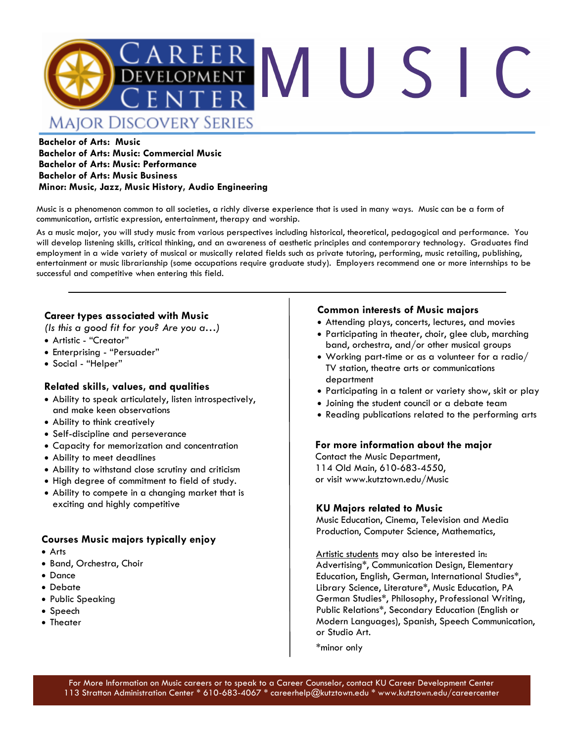

## **Bachelor of Arts: Music Bachelor of Arts: Music: Commercial Music Bachelor of Arts: Music: Performance Bachelor of Arts: Music Business Minor: Music, Jazz, Music History, Audio Engineering**

Music is a phenomenon common to all societies, a richly diverse experience that is used in many ways. Music can be a form of communication, artistic expression, entertainment, therapy and worship.

As a music major, you will study music from various perspectives including historical, theoretical, pedagogical and performance. You will develop listening skills, critical thinking, and an awareness of aesthetic principles and contemporary technology. Graduates find employment in a wide variety of musical or musically related fields such as private tutoring, performing, music retailing, publishing, entertainment or music librarianship (some occupations require graduate study). Employers recommend one or more internships to be successful and competitive when entering this field.

## **Career types associated with Music**

*(Is this a good fit for you? Are you a…)*

- Artistic "Creator"
- Enterprising "Persuader"
- Social "Helper"

## **Related skills, values, and qualities**

- Ability to speak articulately, listen introspectively, and make keen observations
- Ability to think creatively
- Self-discipline and perseverance
- Capacity for memorization and concentration
- Ability to meet deadlines
- Ability to withstand close scrutiny and criticism
- High degree of commitment to field of study.
- Ability to compete in a changing market that is exciting and highly competitive

## **Courses Music majors typically enjoy**

- Arts
- Band, Orchestra, Choir
- Dance
- Debate
- Public Speaking
- Speech
- Theater

### **Common interests of Music majors**

- Attending plays, concerts, lectures, and movies
- Participating in theater, choir, glee club, marching band, orchestra, and/or other musical groups
- Working part-time or as a volunteer for a radio/ TV station, theatre arts or communications department
- Participating in a talent or variety show, skit or play
- Joining the student council or a debate team
- Reading publications related to the performing arts

### **For more information about the major**

Contact the Music Department, 114 Old Main, 610-683-4550, or visit www.kutztown.edu/Music

### **KU Majors related to Music**

Music Education, Cinema, Television and Media Production, Computer Science, Mathematics,

Artistic students may also be interested in: Advertising\*, Communication Design, Elementary Education, English, German, International Studies\*, Library Science, Literature\*, Music Education, PA German Studies\*, Philosophy, Professional Writing, Public Relations\*, Secondary Education (English or Modern Languages), Spanish, Speech Communication, or Studio Art.

\*minor only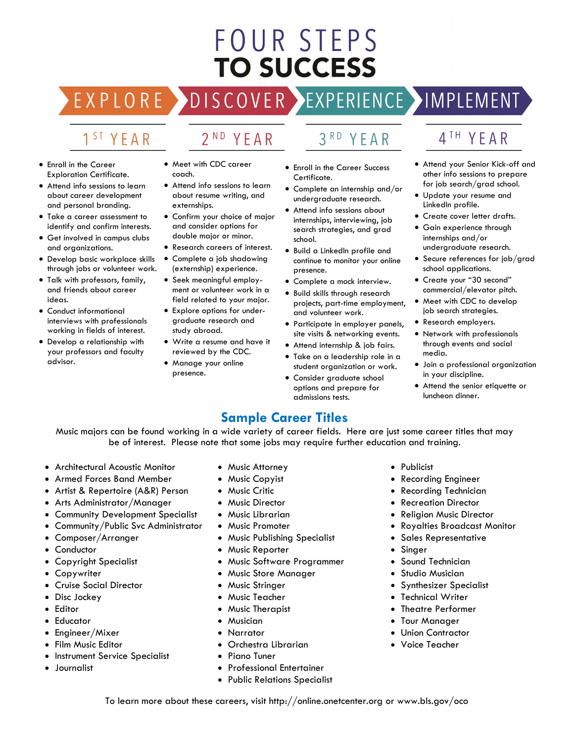# **FOUR STEPS TO SUCCESS**

# DISCOVER EXPERIENCE MPLEMENT EXPLORE >

2<sup>ND</sup> YEAR

# 1<sup>ST</sup> YEAR

- Enroll in the Career Exploration Certificate.
- Attend info sessions to learn about career development and personal branding.
- Take a career assessment to identify and confirm interests.
- Get involved in campus clubs and organizations.
- Develop basic workplace skills through jobs or volunteer work.
- Talk with professors, family, and friends about career ideas.
- Conduct informational interviews with professionals working in fields of interest.
- Develop a relationship with your professors and faculty advisor.
- Meet with CDC career coach.
- Attend info sessions to learn about resume writing, and externships.
- Confirm your choice of major and consider options for double major or minor.
- Research careers of interest. • Complete a job shadowing
- (externship) experience.
- Seek meaningful employment or volunteer work in a field related to your major.
- Explore options for undergraduate research and study abroad.
- Write a resume and have it reviewed by the CDC.
- Manage your online presence.
- $3<sup>RD</sup>$ YEAR
- Enroll in the Career Success Certificate.
- Complete an internship and/or undergraduate research.
- Attend info sessions about internships, interviewing, job search strategies, and grad school.
- Build a LinkedIn profile and continue to monitor your online presence.
- Complete a mock interview.
- Build skills through research projects, part-time employment, and volunteer work.
- Participate in employer panels, site visits & networking events.
- Attend internship & job fairs.
- Take on a leadership role in a student organization or work.
- Consider graduate school options and prepare for admissions tests.

# 4TH YEAR

- Attend your Senior Kick-off and other info sessions to prepare for job search/grad school.
- Update your resume and LinkedIn profile.
- Create cover letter drafts.
- Gain experience through internships and/or
- undergraduate research.
- Secure references for job/grad school applications.
- Create your "30 second" commercial/elevator pitch.
- Meet with CDC to develop job search strategies.
- Research employers.
- Network with professionals through events and social media.
- Join a professional organization in your discipline.
- Attend the senior etiquette or luncheon dinner.

# **Sample Career Titles**

Music majors can be found working in a wide variety of career fields. Here are just some career titles that may be of interest. Please note that some jobs may require further education and training.

- Architectural Acoustic Monitor
- Armed Forces Band Member
- Artist & Repertoire (A&R) Person
- Arts Administrator/Manager
- Community Development Specialist
- Community/Public Svc Administrator
- Composer/Arranger
- Conductor
- Copyright Specialist
- **Copywriter**
- Cruise Social Director
- Disc Jockey
- Editor
- Educator
- Engineer/Mixer
- Film Music Editor
- Instrument Service Specialist
- Journalist
- Music Attorney
- Music Copyist
- Music Critic
- Music Director
- Music Librarian
- Music Promoter
- Music Publishing Specialist
- Music Reporter
- Music Software Programmer
- Music Store Manager
- Music Stringer
- Music Teacher
- Music Therapist
- Musician
- Narrator
- Orchestra Librarian
- Piano Tuner
- Professional Entertainer
- Public Relations Specialist
- Publicist
- Recording Engineer
- Recording Technician
- Recreation Director
- **Religion Music Director**
- Royalties Broadcast Monitor
- Sales Representative
- **Singer**
- Sound Technician
- Studio Musician
- Synthesizer Specialist
- Technical Writer
- Theatre Performer
- **Tour Manager**
- Union Contractor
- Voice Teacher

To learn more about these careers, visit http://online.onetcenter.org or www.bls.gov/oco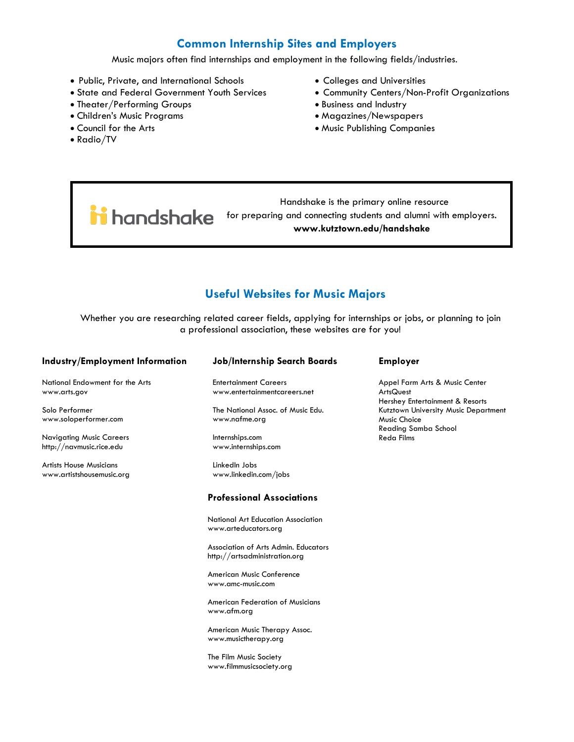# **Common Internship Sites and Employers**

Music majors often find internships and employment in the following fields/industries.

- Public, Private, and International Schools
- State and Federal Government Youth Services
- Theater/Performing Groups
- Children's Music Programs
- Council for the Arts
- Radio/TV
- Colleges and Universities
- Community Centers/Non-Profit Organizations
- Business and Industry
- Magazines/Newspapers
- Music Publishing Companies

 Handshake is the primary online resource **industriate** for preparing and connecting students and alumni with employers. **www.kutztown.edu/handshake**

# **Useful Websites for Music Majors**

Whether you are researching related career fields, applying for internships or jobs, or planning to join a professional association, these websites are for you!

| Industry/Employment Information                             | <b>Job/Internship Search Boards</b>                                   | <b>Employer</b>                                                                |
|-------------------------------------------------------------|-----------------------------------------------------------------------|--------------------------------------------------------------------------------|
| National Endowment for the Arts<br>www.arts.gov             | <b>Entertainment Careers</b><br>www.entertainmentcareers.net          | Appel Farm Arts & Music Center<br>ArtsQuest<br>Hershey Entertainment & Resorts |
| Solo Performer<br>www.soloperformer.com                     | The National Assoc. of Music Edu.<br>www.nafme.org                    | Kutztown University Music Departm<br>Music Choice<br>Reading Samba School      |
| <b>Navigating Music Careers</b><br>http://navmusic.rice.edu | Internships.com<br>www.internships.com                                | <b>Reda Films</b>                                                              |
| <b>Artists House Musicians</b><br>www.artistshousemusic.org | LinkedIn Jobs<br>www.linkedin.com/jobs                                |                                                                                |
|                                                             | <b>Professional Associations</b>                                      |                                                                                |
|                                                             | National Art Education Association<br>www.arteducators.org            |                                                                                |
|                                                             | Association of Arts Admin, Educators<br>http://artsadministration.org |                                                                                |
|                                                             | American Music Conference<br>www.amc-music.com                        |                                                                                |

American Federation of Musicians www.afm.org

American Music Therapy Assoc. www.musictherapy.org

The Film Music Society www.filmmusicsociety.org

#### **Employer**

Kutztown University Music Department